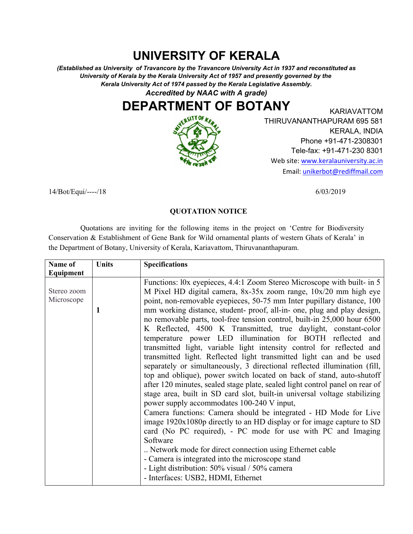## **UNIVERSITY OF KERALA**

*(Established as University of Travancore by the Travancore University Act in 1937 and reconstituted as University of Kerala by the Kerala University Act of 1957 and presently governed by the Kerala University Act of 1974 passed by the Kerala Legislative Assembly. Accredited by NAAC with A grade)*

## **DEPARTMENT OF BOTANY**



KARIAVATTOM THIRUVANANTHAPURAM 695 581 KERALA, INDIA Phone +91-471-2308301 Tele-fax: +91-471-230 8301 Web site: www.keralauniversity.ac.in Email: unikerbot@rediffmail.com

14/Bot/Equi/----/18 6/03/2019

## **QUOTATION NOTICE**

Quotations are inviting for the following items in the project on 'Centre for Biodiversity Conservation & Establishment of Gene Bank for Wild ornamental plants of western Ghats of Kerala' in the Department of Botany, University of Kerala, Kariavattom, Thiruvananthapuram.

| Name of                   | <b>Units</b> | <b>Specifications</b>                                                                                                                                                                                                                                                                                                                                                                                                                                                                                                                                                                                                                                                                                                                                                                                                                                                                                                                                                                                                                                                                                                                                                                                                                                                                                                                                                                                                                                            |
|---------------------------|--------------|------------------------------------------------------------------------------------------------------------------------------------------------------------------------------------------------------------------------------------------------------------------------------------------------------------------------------------------------------------------------------------------------------------------------------------------------------------------------------------------------------------------------------------------------------------------------------------------------------------------------------------------------------------------------------------------------------------------------------------------------------------------------------------------------------------------------------------------------------------------------------------------------------------------------------------------------------------------------------------------------------------------------------------------------------------------------------------------------------------------------------------------------------------------------------------------------------------------------------------------------------------------------------------------------------------------------------------------------------------------------------------------------------------------------------------------------------------------|
| Equipment                 |              |                                                                                                                                                                                                                                                                                                                                                                                                                                                                                                                                                                                                                                                                                                                                                                                                                                                                                                                                                                                                                                                                                                                                                                                                                                                                                                                                                                                                                                                                  |
| Stereo zoom<br>Microscope | 1            | Functions: l0x eyepieces, 4.4:1 Zoom Stereo Microscope with built- in 5<br>M Pixel HD digital camera, $8x-35x$ zoom range, $10x/20$ mm high eye<br>point, non-removable eyepieces, 50-75 mm Inter pupillary distance, 100<br>mm working distance, student- proof, all-in- one, plug and play design,<br>no removable parts, tool-free tension control, built-in 25,000 hour 6500<br>K Reflected, 4500 K Transmitted, true daylight, constant-color<br>temperature power LED illumination for BOTH reflected and<br>transmitted light, variable light intensity control for reflected and<br>transmitted light. Reflected light transmitted light can and be used<br>separately or simultaneously, 3 directional reflected illumination (fill,<br>top and oblique), power switch located on back of stand, auto-shutoff<br>after 120 minutes, sealed stage plate, sealed light control panel on rear of<br>stage area, built in SD card slot, built-in universal voltage stabilizing<br>power supply accommodates 100-240 V input,<br>Camera functions: Camera should be integrated - HD Mode for Live<br>image 1920x1080p directly to an HD display or for image capture to SD<br>card (No PC required), - PC mode for use with PC and Imaging<br>Software<br>Network mode for direct connection using Ethernet cable<br>- Camera is integrated into the microscope stand<br>- Light distribution: 50% visual / 50% camera<br>- Interfaces: USB2, HDMI, Ethernet |